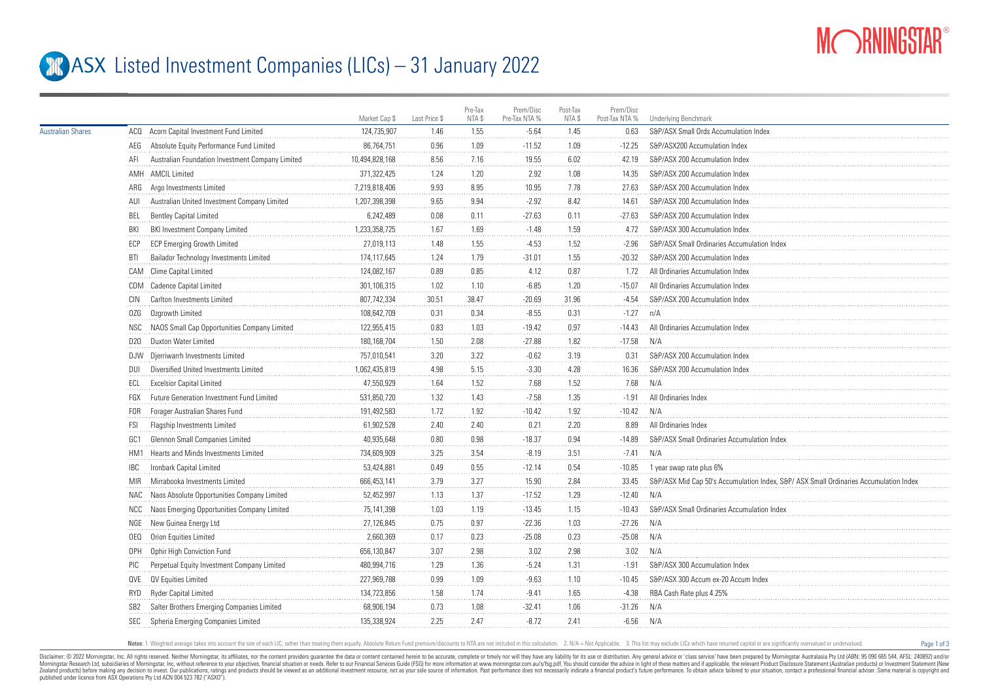

Page 1 of 3

## **ASX** Listed Investment Companies (LICs) – 31 January 2022

|                          |                                                         | Market Cap \$  | Last Price \$ | Pre-Tax<br>NTA \$ | Prem/Disc<br>Pre-Tax NTA % | Post-Tax<br>NTA \$ | Prem/Disc<br>Post-Tax NTA % | Underlying Benchmark                                                                 |
|--------------------------|---------------------------------------------------------|----------------|---------------|-------------------|----------------------------|--------------------|-----------------------------|--------------------------------------------------------------------------------------|
| <b>Australian Shares</b> | ACQ Acorn Capital Investment Fund Limited               | 124,735,907    | 1.46          | 1.55              | $-5.64$                    | 1.45               | 0.63                        | S&P/ASX Small Ords Accumulation Index                                                |
|                          | Absolute Equity Performance Fund Limited<br>AEG         | 86,764,751     | 0.96          | 1.09              | $-11.52$                   | 1.09               | $-12.25$                    | S&P/ASX200 Accumulation Index                                                        |
|                          | Australian Foundation Investment Company Limited<br>AFI | 10,494,828,168 | 8.56          | 7.16              | 19.55                      | 6.02               | 42.19                       | S&P/ASX 200 Accumulation Index                                                       |
|                          | AMH AMCIL Limited                                       | 371,322,425    | 1.24          | 1.20              | 2.92                       | 1.08               | 14.35                       | S&P/ASX 200 Accumulation Index                                                       |
|                          | ARG Argo Investments Limited                            | 7,219,818,406  | 9.93          | 8.95              | 10.95                      | 7.78               | 27.63                       | S&P/ASX 200 Accumulation Index                                                       |
|                          | Australian United Investment Company Limited<br>AUI     | 1,207,398,398  | 9.65          | 9.94              | $-2.92$                    | 8.42               | 14.61                       | S&P/ASX 200 Accumulation Index                                                       |
|                          | BEL<br><b>Bentley Capital Limited</b>                   | 6,242,489      | 0.08          | 0.11              | $-27.63$                   | 0.11               | $-27.63$                    | S&P/ASX 200 Accumulation Index                                                       |
|                          | <b>BKI Investment Company Limited</b><br>BKI            | 1,233,358,725  | 1.67          | 1.69              | $-1.48$                    | 1.59               | 4.72                        | S&P/ASX 300 Accumulation Index                                                       |
|                          | <b>ECP Emerging Growth Limited</b><br>ECP               | 27,019,113     | 1.48          | 1.55              | $-4.53$                    | 1.52               | $-2.96$                     | S&P/ASX Small Ordinaries Accumulation Index                                          |
|                          | Bailador Technology Investments Limited<br><b>BTI</b>   | 174,117,645    | 1.24          | 1.79              | $-31.01$                   | 1.55               | $-20.32$                    | S&P/ASX 200 Accumulation Index                                                       |
|                          | CAM Clime Capital Limited                               | 124,082,167    | 0.89          | 0.85              | 4.12                       | 0.87               | 1.72                        | All Ordinaries Accumulation Index                                                    |
|                          | CDM Cadence Capital Limited                             | 301,106,315    | 1.02          | 1.10              | $-6.85$                    | 1.20               | $-15.07$                    | All Ordinaries Accumulation Index                                                    |
|                          | Carlton Investments Limited<br>CIN                      | 807,742,334    | 30.51         | 38.47             | $-20.69$                   | 31.96              | $-4.54$                     | S&P/ASX 200 Accumulation Index                                                       |
|                          | Ozgrowth Limited<br>0ZG                                 | 108,642,709    | 0.31          | 0.34              | $-8.55$                    | 0.31               | $-1.27$                     | n/A                                                                                  |
|                          | NAOS Small Cap Opportunities Company Limited<br>NSC     | 122,955,415    | 0.83          | 1.03              | $-19.42$                   | 0.97               | $-14.43$                    | All Ordinaries Accumulation Inde:                                                    |
|                          | D20 Duxton Water Limited                                | 180,168,704    | 1.50          | 2.08              | $-27.88$                   | 1.82               | $-17.58$                    | N/A                                                                                  |
|                          | DJW Djerriwarrh Investments Limited                     | 757,010,541    | 3.20          | 3.22              | $-0.62$                    | 3.19               | 0.31                        | S&P/ASX 200 Accumulation Index                                                       |
|                          | Diversified United Investments Limited<br>DUI           | 1,062,435,819  | 4.98          | 5.15              | $-3.30$                    | 4.28               | 16.36                       | S&P/ASX 200 Accumulation Index                                                       |
|                          | <b>Excelsior Capital Limited</b><br>ECL                 | 47,550,929     | 1.64          | 1.52              | 7.68                       | 1.52               | 7.68                        | N/A                                                                                  |
|                          | Future Generation Investment Fund Limited<br>FGX        | 531,850,720    | 1.32          | 1.43              | $-7.58$                    | 1.35               | $-1.91$                     | All Ordinaries Index                                                                 |
|                          | Forager Australian Shares Fund<br>FOR                   | 191,492,583    | 1.72          | 1.92              | $-10.42$                   | 1.92               | $-10.42$                    | N/A                                                                                  |
|                          | <b>FSI</b><br>Flagship Investments Limited              | 61,902,528     | 2.40          | 2.40              | 0.21                       | 2.20               | 8.89                        | All Ordinaries Index                                                                 |
|                          | Glennon Small Companies Limited<br>GC1                  | 40,935,648     | 0.80          | 0.98              | $-18.37$                   | 0.94               | $-14.89$                    | S&P/ASX Small Ordinaries Accumulation Inde.                                          |
|                          | Hearts and Minds Investments Limited<br>HM1             | 734,609,909    | 3.25          | 3.54              | $-8.19$                    | 3.51               | $-7.41$                     | N/A                                                                                  |
|                          | Ironbark Capital Limited<br>IBC                         | 53,424,881     | 0.49          | 0.55              | $-12.14$                   | 0.54               | $-10.85$                    | 1 year swap rate plus 6%                                                             |
|                          | Mirrabooka Investments Limited<br><b>MIR</b>            | 666,453,141    | 3.79          | 3.27              | 15.90                      | 2.84               | 33.45                       | S&P/ASX Mid Cap 50's Accumulation Index, S&P/ASX Small Ordinaries Accumulation Index |
|                          | NAC Naos Absolute Opportunities Company Limited         | 52.452.997     | 1.13          | 1.37              | $-17.52$                   | 1.29               | $-12.40$                    | N/A                                                                                  |
|                          | NCC Naos Emerging Opportunities Company Limited         | 75,141,398     | 1.03          | 1.19              | $-13.45$                   | 1.15               | $-10.43$                    | S&P/ASX Small Ordinaries Accumulation Index                                          |
|                          | NGE New Guinea Energy Ltd                               | 27.126.845     | 0.75          | 0.97              | $-22.36$                   | 1.03               | $-27.26$                    | N/A                                                                                  |
|                          | OEQ Orion Equities Limited                              | 2,660,369      | 0.17          | 0.23              | $-25.08$                   | 0.23               | $-25.08$                    | N/A                                                                                  |
|                          | OPH Ophir High Conviction Fund                          | 656,130,847    | 3.07          | 2.98              | 3.02                       | 2.98               | 3.02                        | N/A                                                                                  |
|                          | Perpetual Equity Investment Company Limited<br>PIC      | 480,994,716    | 1.29          | 1.36              | $-5.24$                    | 1.31               | $-1.91$                     | S&P/ASX 300 Accumulation Index                                                       |
|                          | QVE QV Equities Limited                                 | 227,969,788    | 0.99          | 1.09              | $-9.63$                    | 1.10               | $-10.45$                    | S&P/ASX 300 Accum ex-20 Accum Index                                                  |
|                          | Ryder Capital Limited<br>RYD                            | 134,723,856    | 1.58          | 1.74              | $-9.41$                    | 1.65               | $-4.38$                     | RBA Cash Rate plus 4.25%                                                             |
|                          | Salter Brothers Emerging Companies Limited<br>SB2       | 68,906,194     | 0.73          | 1.08              | $-32.41$                   | 1.06               | $-31.26$                    | N/A                                                                                  |
|                          | SEC<br>Spheria Emerging Companies Limited               | 135,338,924    | 2.25          | 2.47              | $-8.72$                    | 2.41               | $-6.56$                     | N/A                                                                                  |
|                          |                                                         |                |               |                   |                            |                    |                             |                                                                                      |

Notes: 1. Weighted average takes into account the size of each LIC, rather than treating them equally. Absolute Return Fund premium/discounts to NTA are not included in this calculation. 2. N/A = Not Applicable. 3. This li

Disclaimer: © 2022 Morninostar, Inc. All rights reseved. Neither Morninostar, its affiliates, nor the content providers quarantee the data or content consined herein to be accurate, complete or timely nor will they have an Morningstar Research Ltd, subsidiaries of Morningstar, Inc, without reference to your objectives, financial stuation or needs. Refer to our Financial Services Guide (FSG) for more information at www.morningstar.com.au/s/fs Zealand products) before making any decision to invest. Our publications, ratings and products should be viewed as an additional investment resource. not as your sole source of information. Past performance does not necess published under licence from ASX Operations Pty Ltd ACN 004 523 782 ("ASXO").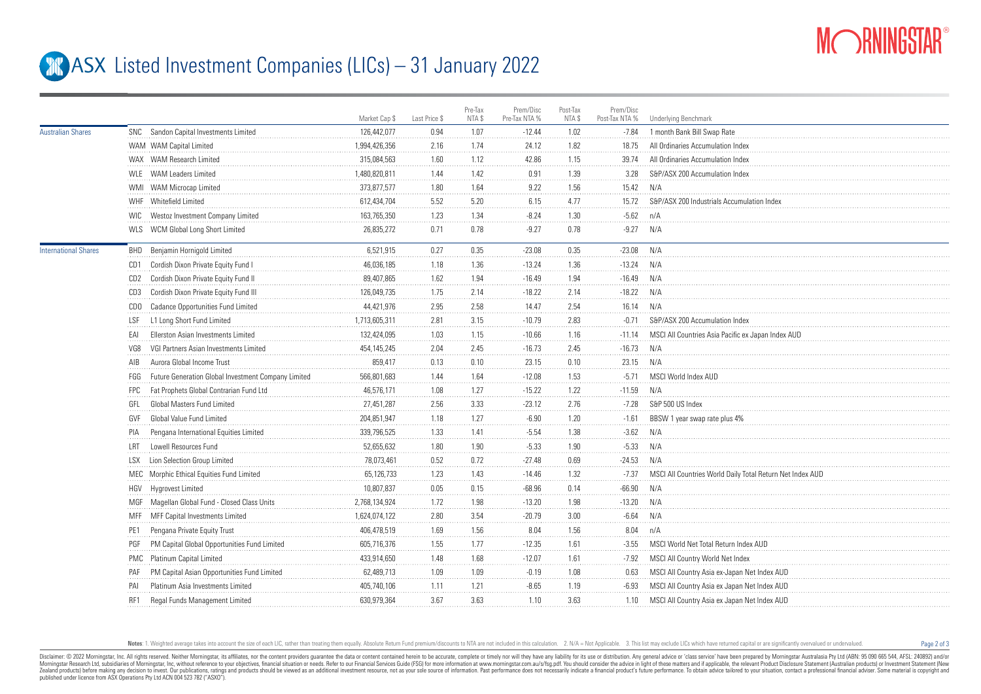

Page 2 of 3

## **ASX** Listed Investment Companies (LICs) – 31 January 2022

|                             |                 |                                                     | Market Cap \$ | Last Price \$ | Pre-Tax<br>NTA \$ | Prem/Disc<br>Pre-Tax NTA % | Post-Tax<br>NTA \$ | Prem/Disc<br>Post-Tax NTA % | Underlying Benchmark                                     |
|-----------------------------|-----------------|-----------------------------------------------------|---------------|---------------|-------------------|----------------------------|--------------------|-----------------------------|----------------------------------------------------------|
| <b>Australian Shares</b>    |                 | SNC Sandon Capital Investments Limited              | 126,442,077   | 0.94          | 1.07              | $-12.44$                   | 1.02               | $-7.84$                     | 1 month Bank Bill Swap Rate                              |
|                             |                 | WAM WAM Capital Limited                             | 1,994,426,356 | 2.16          | 1.74              | 24.12                      | 1.82               | 18.75                       | All Ordinaries Accumulation Index                        |
|                             |                 | WAX WAM Research Limited                            | 315,084,563   | 1.60          | 1.12              | 42.86                      | 1.15               | 39.74                       | All Ordinaries Accumulation Index                        |
|                             |                 | WLE WAM Leaders Limited                             | 1,480,820,811 | 1.44          | 1.42              | 0.91                       | 1.39               | 3.28                        | S&P/ASX 200 Accumulation Index                           |
|                             |                 | WMI WAM Microcap Limited                            | 373.877.577   | 1.80          | 1.64              | 9.22                       | 1.56               | 15.42                       | N/A                                                      |
|                             |                 | WHF Whitefield Limited                              | 612,434,704   | 5.52          | 5.20              | 6.15                       | 4.77               | 15.72                       | S&P/ASX 200 Industrials Accumulation Index               |
|                             |                 | WIC Westoz Investment Company Limited               | 163,765,350   | 1.23          | 1.34              | $-8.24$                    | 1.30               | $-5.62$                     | n/A                                                      |
|                             |                 | WLS WCM Global Long Short Limited                   | 26,835,272    | 0.71          | 0.78              | $-9.27$                    | 0.78               | $-9.27$                     | N/A                                                      |
| <b>International Shares</b> |                 | BHD Benjamin Hornigold Limited                      | 6,521,915     | 0.27          | 0.35              | $-23.08$                   | 0.35               | $-23.08$                    | N/A                                                      |
|                             |                 | CD1 Cordish Dixon Private Equity Fund I             | 46,036,185    | 1.18          | 1.36              | $-13.24$                   | 1.36               | $-13.24$                    | N/A                                                      |
|                             |                 | CD2 Cordish Dixon Private Equity Fund II            | 89,407,865    | 1.62          | 1.94              | $-16.49$                   | 1.94               | $-16.49$                    | N/A                                                      |
|                             | CD3             | Cordish Dixon Private Equity Fund III               | 126,049,735   | 1.75          | 2.14              | $-18.22$                   | 2.14               | $-18.22$                    | N/A                                                      |
|                             | CDO             | Cadance Opportunities Fund Limited                  | 44,421,976    | 2.95          | 2.58              | 14.47                      | 2.54               | 16.14                       | N/A                                                      |
|                             | LSF             | L1 Long Short Fund Limited                          | 1,713,605,311 | 2.81          | 3.15              | $-10.79$                   | 2.83               | $-0.71$                     | S&P/ASX 200 Accumulation Index                           |
|                             | EAI             | Ellerston Asian Investments Limited                 | 132,424,095   | 1.03          | 1.15              | $-10.66$                   | 1.16               | $-11.14$                    | MSCI All Countries Asia Pacific ex Japan Index AUD       |
|                             | VG8             | VGI Partners Asian Investments Limited              | 454, 145, 245 | 2.04          | 2.45              | $-16.73$                   | 2.45               | $-16.73$                    | N/A                                                      |
|                             | AIB             | Aurora Global Income Trust                          | 859,417       | 0.13          | 0.10              | 23.15                      | 0.10               | 23.15                       | N/A                                                      |
|                             | FGG             | Future Generation Global Investment Company Limited | 566,801,683   | 1.44          | 1.64              | $-12.08$                   | 1.53               | $-5.71$                     | MSCI World Index AUD                                     |
|                             | <b>FPC</b>      | Fat Prophets Global Contrarian Fund Ltd             | 46,576,171    | 1.08          | 1.27              | $-15.22$                   | 1.22               | $-11.59$                    | N/A                                                      |
|                             | GFL             | Global Masters Fund Limited                         | 27,451,287    | 2.56          | 3.33              | $-23.12$                   | 2.76               | $-7.28$                     | S&P 500 US Index                                         |
|                             | GVF             | Global Value Fund Limited                           | 204,851,947   | 1.18          | 1.27              | $-6.90$                    | 1.20               | $-1.61$                     | BBSW 1 year swap rate plus 4%                            |
|                             | PIA             | Pengana International Equities Limited              | 339,796,525   | 1.33          | 1.41              | $-5.54$                    | 1.38               | $-3.62$                     | N/A                                                      |
|                             | LRT             | Lowell Resources Fund                               | 52,655,632    | 1.80          | 1.90              | $-5.33$                    | 1.90               | $-5.33$                     | N/A                                                      |
|                             | <b>LSX</b>      | Lion Selection Group Limited                        | 78,073,461    | 0.52          | 0.72              | $-27.48$                   | 0.69               | $-24.53$                    | N/A                                                      |
|                             |                 | MEC Morphic Ethical Equities Fund Limited           | 65,126,733    | 1.23          | 1.43              | $-14.46$                   | 1.32               | $-7.37$                     | MSCI All Countries World Daily Total Return Net Index AU |
|                             | HGV             | Hygrovest Limited                                   | 10,807,837    | 0.05          | 0.15              | $-68.96$                   | 0.14               | $-66.90$                    | N/A                                                      |
|                             |                 | MGF Magellan Global Fund - Closed Class Units       | 2,768,134,924 | 1.72          | 1.98              | $-13.20$                   | 1.98               | $-13.20$                    | N/A                                                      |
|                             |                 | MFF MFF Capital Investments Limited                 | 1,624,074,122 | 2.80          | 3.54              | $-20.79$                   | 3.00               | $-6.64$                     | N/A                                                      |
|                             | PE <sub>1</sub> | Pengana Private Equity Trust                        | 406,478,519   | 1.69          | 1.56              | 8.04                       | 1.56               | 8.04                        | n/A                                                      |
|                             | PGF             | PM Capital Global Opportunities Fund Limited        | 605,716,376   | 1.55          | 1.77              | $-12.35$                   | 1.61               | $-3.55$                     | MSCI World Net Total Return Index AUD                    |
|                             |                 | PMC Platinum Capital Limited                        | 433,914,650   | 1.48          | 1.68              | $-12.07$                   | 1.61               | $-7.92$                     | MSCI All Country World Net Index                         |
|                             | PAF             | PM Capital Asian Opportunities Fund Limited         | 62,489,713    | 1.09          | 1.09              | $-0.19$                    | 1.08               | 0.63                        | MSCI All Country Asia ex-Japan Net Index AUD             |
|                             | PAI             | Platinum Asia Investments Limited                   | 405,740,106   | 1.11          | 1.21              | $-8.65$                    | 1.19               | $-6.93$                     | MSCI All Country Asia ex Japan Net Index AUD             |
|                             | RF1             | Regal Funds Management Limited                      | 630,979,364   | 3.67          | 3.63              | 1.10                       | 3.63               | 1.10                        | MSCI All Country Asia ex Japan Net Index AUD             |
|                             |                 |                                                     |               |               |                   |                            |                    |                             |                                                          |

Notes: 1. Weighted average takes into account the size of each LIC, rather than treating them equally. Absolute Return Fund premium/discounts to NTA are not included in this calculation. 2. N/A = Not Applicable. 3. This li

Disclaimer: © 2022 Morninostar, Inc. All rights reseved. Neither Morninostar, its affiliates, nor the content providers quarantee the data or content consined herein to be accurate, complete or timely nor will they have an Morningstar Research Ltd, subsidiaries of Morningstar, Inc, without reference to your objectives, financial stuation or needs. Refer to our Financial Services Guide (FSG) for more information at www.morningstar.com.au/s/fs Zealand products) before making any decision to invest. Our publications, ratings and products should be viewed as an additional investment resource, not as your sole squire of information. Past performance does not necess published under licence from ASX Operations Pty Ltd ACN 004 523 782 ("ASXO").